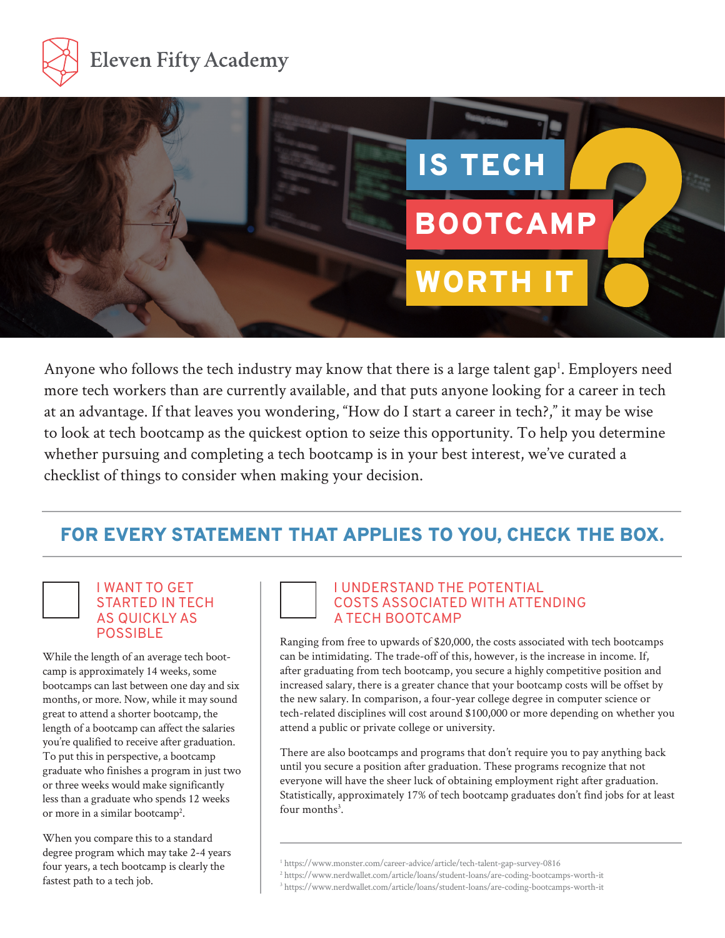



Anyone who follows the tech industry may know that there is a large talent gap<sup>1</sup>. Employers need more tech workers than are currently available, and that puts anyone looking for a career in tech at an advantage. If that leaves you wondering, "How do I start a career in tech?," it may be wise to look at tech bootcamp as the quickest option to seize this opportunity. To help you determine whether pursuing and completing a tech bootcamp is in your best interest, we've curated a checklist of things to consider when making your decision.

# FOR EVERY STATEMENT THAT APPLIES TO YOU, CHECK THE BOX.

## I WANT TO GET STARTED IN TECH AS QUICKLY AS

While the length of an average tech bootcamp is approximately 14 weeks, some bootcamps can last between one day and six months, or more. Now, while it may sound great to attend a shorter bootcamp, the length of a bootcamp can affect the salaries you're qualified to receive after graduation. To put this in perspective, a bootcamp graduate who finishes a program in just two or three weeks would make significantly less than a graduate who spends 12 weeks or more in a similar bootcamp<sup>2</sup>.

When you compare this to a standard degree program which may take 2-4 years four years, a tech bootcamp is clearly the fastest path to a tech job.

#### I UNDERSTAND THE POTENTIAL COSTS ASSOCIATED WITH ATTENDING A TECH BOOTCAMP

Ranging from free to upwards of \$20,000, the costs associated with tech bootcamps can be intimidating. The trade-off of this, however, is the increase in income. If, after graduating from tech bootcamp, you secure a highly competitive position and increased salary, there is a greater chance that your bootcamp costs will be offset by the new salary. In comparison, a four-year college degree in computer science or tech-related disciplines will cost around \$100,000 or more depending on whether you attend a public or private college or university.

There are also bootcamps and programs that don't require you to pay anything back until you secure a position after graduation. These programs recognize that not everyone will have the sheer luck of obtaining employment right after graduation. Statistically, approximately 17% of tech bootcamp graduates don't find jobs for at least four months<sup>3</sup>.

<sup>1</sup> https://www.monster.com/career-advice/article/tech-talent-gap-survey-0816

<sup>2</sup> https://www.nerdwallet.com/article/loans/student-loans/are-coding-bootcamps-worth-it

<sup>&</sup>lt;sup>3</sup> https://www.nerdwallet.com/article/loans/student-loans/are-coding-bootcamps-worth-it